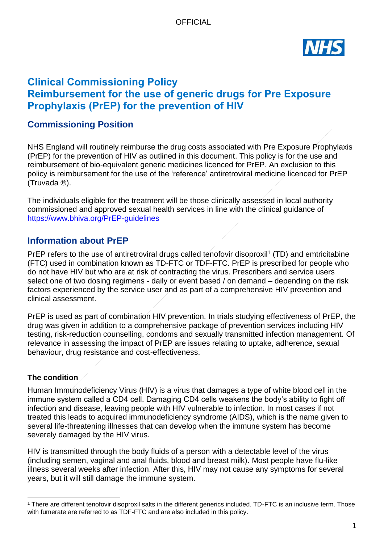

# **Clinical Commissioning Policy Reimbursement for the use of generic drugs for Pre Exposure Prophylaxis (PrEP) for the prevention of HIV**

# **Commissioning Position**

NHS England will routinely reimburse the drug costs associated with Pre Exposure Prophylaxis (PrEP) for the prevention of HIV as outlined in this document. This policy is for the use and reimbursement of bio-equivalent generic medicines licenced for PrEP. An exclusion to this policy is reimbursement for the use of the 'reference' antiretroviral medicine licenced for PrEP (Truvada ®).

The individuals eligible for the treatment will be those clinically assessed in local authority commissioned and approved sexual health services in line with the clinical guidance of <https://www.bhiva.org/PrEP-guidelines>

## **Information about PrEP**

PrEP refers to the use of antiretroviral drugs called tenofovir disoproxil<sup>1</sup> (TD) and emtricitabine (FTC) used in combination known as TD-FTC or TDF-FTC. PrEP is prescribed for people who do not have HIV but who are at risk of contracting the virus. Prescribers and service users select one of two dosing regimens - daily or event based / on demand – depending on the risk factors experienced by the service user and as part of a comprehensive HIV prevention and clinical assessment.

PrEP is used as part of combination HIV prevention. In trials studying effectiveness of PrEP, the drug was given in addition to a comprehensive package of prevention services including HIV testing, risk-reduction counselling, condoms and sexually transmitted infection management. Of relevance in assessing the impact of PrEP are issues relating to uptake, adherence, sexual behaviour, drug resistance and cost-effectiveness.

### **The condition**

Human Immunodeficiency Virus (HIV) is a virus that damages a type of white blood cell in the immune system called a CD4 cell. Damaging CD4 cells weakens the body's ability to fight off infection and disease, leaving people with HIV vulnerable to infection. In most cases if not treated this leads to acquired immunodeficiency syndrome (AIDS), which is the name given to several life-threatening illnesses that can develop when the immune system has become severely damaged by the HIV virus.

HIV is transmitted through the body fluids of a person with a detectable level of the virus (including semen, vaginal and anal fluids, blood and breast milk). Most people have flu-like illness several weeks after infection. After this, HIV may not cause any symptoms for several years, but it will still damage the immune system.

<sup>&</sup>lt;sup>1</sup> There are different tenofovir disoproxil salts in the different generics included. TD-FTC is an inclusive term. Those with fumerate are referred to as TDF-FTC and are also included in this policy.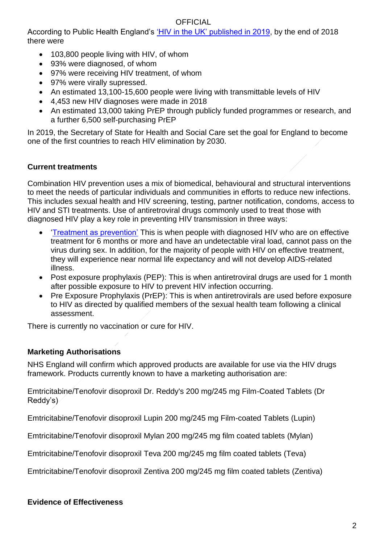### **OFFICIAL**

According to Public Health England's ['HIV in the UK' published in 2019,](https://assets.publishing.service.gov.uk/government/uploads/system/uploads/attachment_data/file/858559/HIV_in_the_UK_2019_towards_zero_HIV_transmissions_by_2030.pdf) by the end of 2018 there were

- 103,800 people living with HIV, of whom
- 93% were diagnosed, of whom
- 97% were receiving HIV treatment, of whom
- 97% were virally supressed.
- An estimated 13,100-15,600 people were living with transmittable levels of HIV
- 4,453 new HIV diagnoses were made in 2018
- An estimated 13,000 taking PrEP through publicly funded programmes or research, and a further 6,500 self-purchasing PrEP

In 2019, the Secretary of State for Health and Social Care set the goal for England to become one of the first countries to reach HIV elimination by 2030.

### **Current treatments**

Combination HIV prevention uses a mix of biomedical, behavioural and structural interventions to meet the needs of particular individuals and communities in efforts to reduce new infections. This includes sexual health and HIV screening, testing, partner notification, condoms, access to HIV and STI treatments. Use of antiretroviral drugs commonly used to treat those with diagnosed HIV play a key role in preventing HIV transmission in three ways:

- ['Treatment as prevention'](https://www.england.nhs.uk/commissioning/wp-content/uploads/sites/12/2015/10/f03pc-tasp-oct15.pdf) This is when people with diagnosed HIV who are on effective treatment for 6 months or more and have an undetectable viral load, cannot pass on the virus during sex. In addition, for the majority of people with HIV on effective treatment, they will experience near normal life expectancy and will not develop AIDS-related illness.
- Post exposure prophylaxis (PEP): This is when antiretroviral drugs are used for 1 month after possible exposure to HIV to prevent HIV infection occurring.
- Pre Exposure Prophylaxis (PrEP): This is when antiretrovirals are used before exposure to HIV as directed by qualified members of the sexual health team following a clinical assessment.

There is currently no vaccination or cure for HIV.

### **Marketing Authorisations**

NHS England will confirm which approved products are available for use via the HIV drugs framework. Products currently known to have a marketing authorisation are:

Emtricitabine/Tenofovir disoproxil Dr. Reddy's 200 mg/245 mg Film-Coated Tablets (Dr Reddy's)

Emtricitabine/Tenofovir disoproxil Lupin 200 mg/245 mg Film-coated Tablets (Lupin)

Emtricitabine/Tenofovir disoproxil Mylan 200 mg/245 mg film coated tablets (Mylan)

Emtricitabine/Tenofovir disoproxil Teva 200 mg/245 mg film coated tablets (Teva)

Emtricitabine/Tenofovir disoproxil Zentiva 200 mg/245 mg film coated tablets (Zentiva)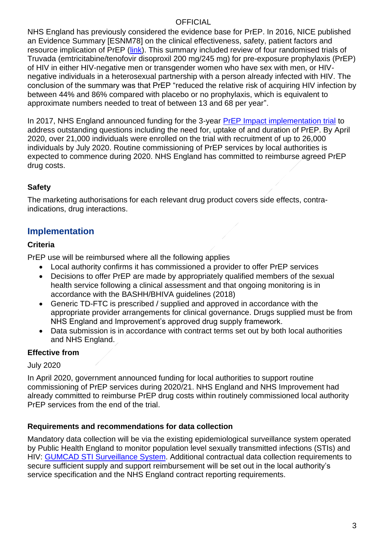### **OFFICIAL**

NHS England has previously considered the evidence base for PrEP. In 2016, NICE published an Evidence Summary [ESNM78] on the clinical effectiveness, safety, patient factors and resource implication of PrEP [\(link\)](https://www.nice.org.uk/advice/esnm78/chapter/Full-evidence-summary). This summary included review of four randomised trials of Truvada (emtricitabine/tenofovir disoproxil 200 mg/245 mg) for pre-exposure prophylaxis (PrEP) of HIV in either HIV-negative men or transgender women who have sex with men, or HIVnegative individuals in a heterosexual partnership with a person already infected with HIV. The conclusion of the summary was that PrEP "reduced the relative risk of acquiring HIV infection by between 44% and 86% compared with placebo or no prophylaxis, which is equivalent to approximate numbers needed to treat of between 13 and 68 per year".

In 2017, NHS England announced funding for the 3-year [PrEP Impact implementation trial](https://www.prepimpacttrial.org.uk/) to address outstanding questions including the need for, uptake of and duration of PrEP. By April 2020, over 21,000 individuals were enrolled on the trial with recruitment of up to 26,000 individuals by July 2020. Routine commissioning of PrEP services by local authorities is expected to commence during 2020. NHS England has committed to reimburse agreed PrEP drug costs.

## **Safety**

The marketing authorisations for each relevant drug product covers side effects, contraindications, drug interactions.

# **Implementation**

#### **Criteria**

PrEP use will be reimbursed where all the following applies

- Local authority confirms it has commissioned a provider to offer PrEP services
- Decisions to offer PrEP are made by appropriately qualified members of the sexual health service following a clinical assessment and that ongoing monitoring is in accordance with the BASHH/BHIVA guidelines (2018)
- Generic TD-FTC is prescribed / supplied and approved in accordance with the appropriate provider arrangements for clinical governance. Drugs supplied must be from NHS England and Improvement's approved drug supply framework.
- Data submission is in accordance with contract terms set out by both local authorities and NHS England.

### **Effective from**

July 2020

In April 2020, government announced funding for local authorities to support routine commissioning of PrEP services during 2020/21. NHS England and NHS Improvement had already committed to reimburse PrEP drug costs within routinely commissioned local authority PrEP services from the end of the trial.

### **Requirements and recommendations for data collection**

Mandatory data collection will be via the existing epidemiological surveillance system operated by Public Health England to monitor population level sexually transmitted infections (STIs) and HIV: [GUMCAD STI Surveillance System.](https://www.gov.uk/guidance/gumcad-sti-surveillance-system) Additional contractual data collection requirements to secure sufficient supply and support reimbursement will be set out in the local authority's service specification and the NHS England contract reporting requirements.